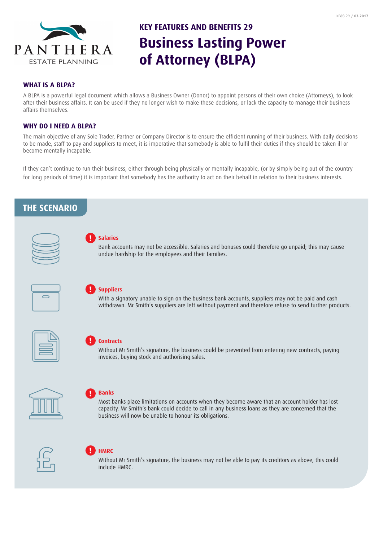

# **Business Lasting Power of Attorney (BLPA) KEY FEATURES AND BENEFITS 29**

#### **WHAT IS A BLPA?**

A BLPA is a powerful legal document which allows a Business Owner (Donor) to appoint persons of their own choice (Attorneys), to look after their business affairs. It can be used if they no longer wish to make these decisions, or lack the capacity to manage their business affairs themselves.

### **WHY DO I NEED A BLPA?**

The main objective of any Sole Trader, Partner or Company Director is to ensure the efficient running of their business. With daily decisions to be made, staff to pay and suppliers to meet, it is imperative that somebody is able to fulfil their duties if they should be taken ill or become mentally incapable.

If they can't continue to run their business, either through being physically or mentally incapable, (or by simply being out of the country for long periods of time) it is important that somebody has the authority to act on their behalf in relation to their business interests.